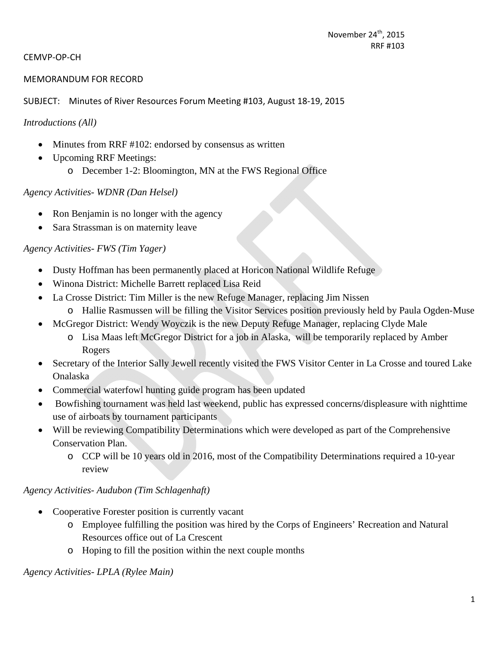#### CEMVP‐OP‐CH

#### MEMORANDUM FOR RECORD

#### SUBJECT: Minutes of River Resources Forum Meeting #103, August 18‐19, 2015

#### *Introductions (All)*

- Minutes from RRF #102: endorsed by consensus as written
- Upcoming RRF Meetings: o December 1-2: Bloomington, MN at the FWS Regional Office

#### *Agency Activities- WDNR (Dan Helsel)*

- Ron Benjamin is no longer with the agency
- Sara Strassman is on maternity leave

### *Agency Activities- FWS (Tim Yager)*

- Dusty Hoffman has been permanently placed at Horicon National Wildlife Refuge
- Winona District: Michelle Barrett replaced Lisa Reid
- La Crosse District: Tim Miller is the new Refuge Manager, replacing Jim Nissen
	- o Hallie Rasmussen will be filling the Visitor Services position previously held by Paula Ogden-Muse
- McGregor District: Wendy Woyczik is the new Deputy Refuge Manager, replacing Clyde Male
	- o Lisa Maas left McGregor District for a job in Alaska, will be temporarily replaced by Amber Rogers
- Secretary of the Interior Sally Jewell recently visited the FWS Visitor Center in La Crosse and toured Lake Onalaska
- Commercial waterfowl hunting guide program has been updated
- Bowfishing tournament was held last weekend, public has expressed concerns/displeasure with nighttime use of airboats by tournament participants
- Will be reviewing Compatibility Determinations which were developed as part of the Comprehensive Conservation Plan.
	- o CCP will be 10 years old in 2016, most of the Compatibility Determinations required a 10-year review

### *Agency Activities- Audubon (Tim Schlagenhaft)*

- Cooperative Forester position is currently vacant
	- o Employee fulfilling the position was hired by the Corps of Engineers' Recreation and Natural Resources office out of La Crescent
	- o Hoping to fill the position within the next couple months

### *Agency Activities- LPLA (Rylee Main)*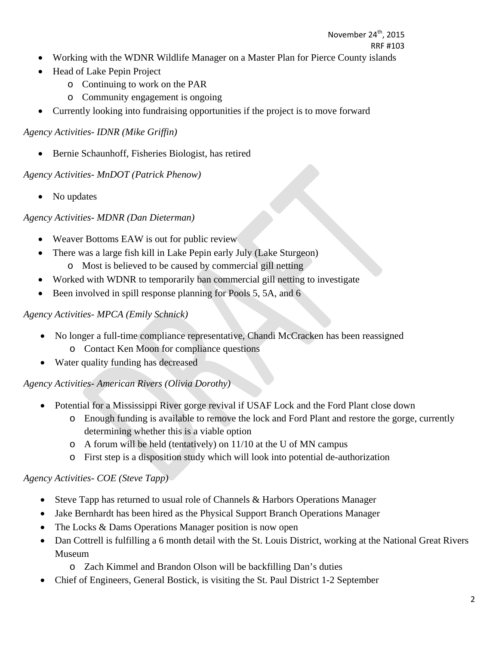- Working with the WDNR Wildlife Manager on a Master Plan for Pierce County islands
- Head of Lake Pepin Project
	- o Continuing to work on the PAR
	- o Community engagement is ongoing
- Currently looking into fundraising opportunities if the project is to move forward

*Agency Activities- IDNR (Mike Griffin)* 

• Bernie Schaunhoff, Fisheries Biologist, has retired

*Agency Activities- MnDOT (Patrick Phenow)* 

• No updates

*Agency Activities- MDNR (Dan Dieterman)* 

- Weaver Bottoms EAW is out for public review
- There was a large fish kill in Lake Pepin early July (Lake Sturgeon)
	- o Most is believed to be caused by commercial gill netting
- Worked with WDNR to temporarily ban commercial gill netting to investigate
- Been involved in spill response planning for Pools 5, 5A, and 6

### *Agency Activities- MPCA (Emily Schnick)*

- No longer a full-time compliance representative, Chandi McCracken has been reassigned o Contact Ken Moon for compliance questions
- Water quality funding has decreased

*Agency Activities- American Rivers (Olivia Dorothy)* 

- Potential for a Mississippi River gorge revival if USAF Lock and the Ford Plant close down
	- o Enough funding is available to remove the lock and Ford Plant and restore the gorge, currently determining whether this is a viable option
	- o A forum will be held (tentatively) on 11/10 at the U of MN campus
	- o First step is a disposition study which will look into potential de-authorization

# *Agency Activities- COE (Steve Tapp)*

- Steve Tapp has returned to usual role of Channels & Harbors Operations Manager
- Jake Bernhardt has been hired as the Physical Support Branch Operations Manager
- The Locks & Dams Operations Manager position is now open
- Dan Cottrell is fulfilling a 6 month detail with the St. Louis District, working at the National Great Rivers Museum
	- o Zach Kimmel and Brandon Olson will be backfilling Dan's duties
- Chief of Engineers, General Bostick, is visiting the St. Paul District 1-2 September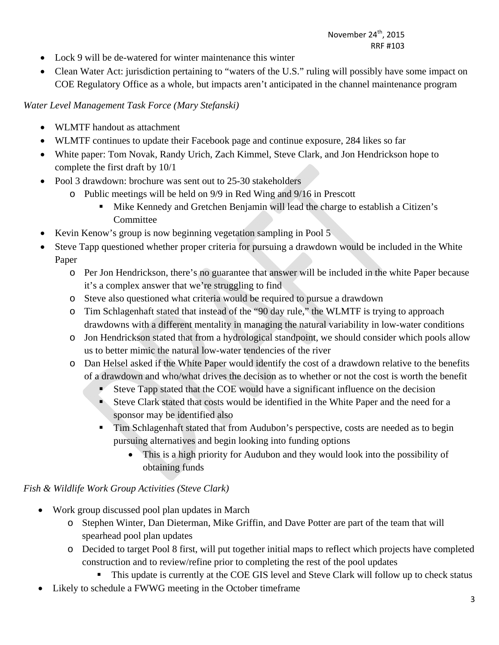- Lock 9 will be de-watered for winter maintenance this winter
- Clean Water Act: jurisdiction pertaining to "waters of the U.S." ruling will possibly have some impact on COE Regulatory Office as a whole, but impacts aren't anticipated in the channel maintenance program

*Water Level Management Task Force (Mary Stefanski)* 

- WLMTF handout as attachment
- WLMTF continues to update their Facebook page and continue exposure, 284 likes so far
- White paper: Tom Novak, Randy Urich, Zach Kimmel, Steve Clark, and Jon Hendrickson hope to complete the first draft by 10/1
- Pool 3 drawdown: brochure was sent out to 25-30 stakeholders
	- o Public meetings will be held on 9/9 in Red Wing and 9/16 in Prescott
		- Mike Kennedy and Gretchen Benjamin will lead the charge to establish a Citizen's Committee
- Kevin Kenow's group is now beginning vegetation sampling in Pool 5
- Steve Tapp questioned whether proper criteria for pursuing a drawdown would be included in the White Paper
	- o Per Jon Hendrickson, there's no guarantee that answer will be included in the white Paper because it's a complex answer that we're struggling to find
	- o Steve also questioned what criteria would be required to pursue a drawdown
	- o Tim Schlagenhaft stated that instead of the "90 day rule," the WLMTF is trying to approach drawdowns with a different mentality in managing the natural variability in low-water conditions
	- o Jon Hendrickson stated that from a hydrological standpoint, we should consider which pools allow us to better mimic the natural low-water tendencies of the river
	- o Dan Helsel asked if the White Paper would identify the cost of a drawdown relative to the benefits of a drawdown and who/what drives the decision as to whether or not the cost is worth the benefit
		- $\blacktriangleright$  Steve Tapp stated that the COE would have a significant influence on the decision
		- Steve Clark stated that costs would be identified in the White Paper and the need for a sponsor may be identified also
		- **Tim Schlagenhaft stated that from Audubon's perspective, costs are needed as to begin** pursuing alternatives and begin looking into funding options
			- This is a high priority for Audubon and they would look into the possibility of obtaining funds

*Fish & Wildlife Work Group Activities (Steve Clark)* 

- Work group discussed pool plan updates in March
	- o Stephen Winter, Dan Dieterman, Mike Griffin, and Dave Potter are part of the team that will spearhead pool plan updates
	- o Decided to target Pool 8 first, will put together initial maps to reflect which projects have completed construction and to review/refine prior to completing the rest of the pool updates
		- This update is currently at the COE GIS level and Steve Clark will follow up to check status
- Likely to schedule a FWWG meeting in the October timeframe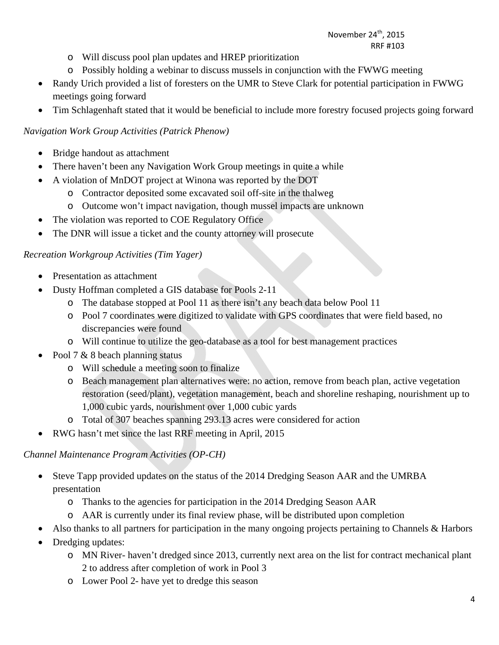- o Will discuss pool plan updates and HREP prioritization
- o Possibly holding a webinar to discuss mussels in conjunction with the FWWG meeting
- Randy Urich provided a list of foresters on the UMR to Steve Clark for potential participation in FWWG meetings going forward
- Tim Schlagenhaft stated that it would be beneficial to include more forestry focused projects going forward

### *Navigation Work Group Activities (Patrick Phenow)*

- Bridge handout as attachment
- There haven't been any Navigation Work Group meetings in quite a while
- A violation of MnDOT project at Winona was reported by the DOT
	- o Contractor deposited some excavated soil off-site in the thalweg
	- o Outcome won't impact navigation, though mussel impacts are unknown
- The violation was reported to COE Regulatory Office
- The DNR will issue a ticket and the county attorney will prosecute

### *Recreation Workgroup Activities (Tim Yager)*

- Presentation as attachment
- Dusty Hoffman completed a GIS database for Pools 2-11
	- o The database stopped at Pool 11 as there isn't any beach data below Pool 11
	- o Pool 7 coordinates were digitized to validate with GPS coordinates that were field based, no discrepancies were found
	- o Will continue to utilize the geo-database as a tool for best management practices
- Pool 7 & 8 beach planning status
	- o Will schedule a meeting soon to finalize
	- o Beach management plan alternatives were: no action, remove from beach plan, active vegetation restoration (seed/plant), vegetation management, beach and shoreline reshaping, nourishment up to 1,000 cubic yards, nourishment over 1,000 cubic yards
	- o Total of 307 beaches spanning 293.13 acres were considered for action
- RWG hasn't met since the last RRF meeting in April, 2015

# *Channel Maintenance Program Activities (OP-CH)*

- Steve Tapp provided updates on the status of the 2014 Dredging Season AAR and the UMRBA presentation
	- o Thanks to the agencies for participation in the 2014 Dredging Season AAR
	- o AAR is currently under its final review phase, will be distributed upon completion
- Also thanks to all partners for participation in the many ongoing projects pertaining to Channels & Harbors
- Dredging updates:
	- o MN River- haven't dredged since 2013, currently next area on the list for contract mechanical plant 2 to address after completion of work in Pool 3
	- o Lower Pool 2- have yet to dredge this season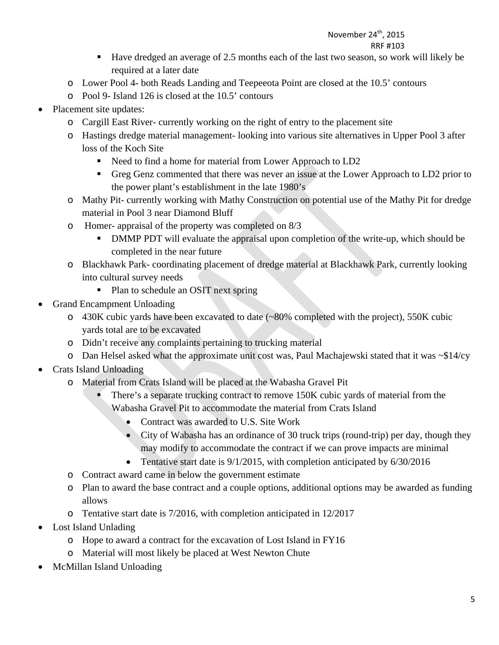- Have dredged an average of 2.5 months each of the last two season, so work will likely be required at a later date
- o Lower Pool 4- both Reads Landing and Teepeeota Point are closed at the 10.5' contours
- o Pool 9- Island 126 is closed at the 10.5' contours
- Placement site updates:
	- o Cargill East River- currently working on the right of entry to the placement site
	- o Hastings dredge material management- looking into various site alternatives in Upper Pool 3 after loss of the Koch Site
		- Need to find a home for material from Lower Approach to LD2
		- Greg Genz commented that there was never an issue at the Lower Approach to LD2 prior to the power plant's establishment in the late 1980's
	- o Mathy Pit- currently working with Mathy Construction on potential use of the Mathy Pit for dredge material in Pool 3 near Diamond Bluff
	- o Homer- appraisal of the property was completed on 8/3
		- DMMP PDT will evaluate the appraisal upon completion of the write-up, which should be completed in the near future
	- o Blackhawk Park- coordinating placement of dredge material at Blackhawk Park, currently looking into cultural survey needs
		- Plan to schedule an OSIT next spring
- Grand Encampment Unloading
	- o 430K cubic yards have been excavated to date (~80% completed with the project), 550K cubic yards total are to be excavated
	- o Didn't receive any complaints pertaining to trucking material
	- $\circ$  Dan Helsel asked what the approximate unit cost was, Paul Machajewski stated that it was  $\sim$ \$14/cy
- Crats Island Unloading
	- o Material from Crats Island will be placed at the Wabasha Gravel Pit
		- There's a separate trucking contract to remove 150K cubic yards of material from the Wabasha Gravel Pit to accommodate the material from Crats Island
			- Contract was awarded to U.S. Site Work
			- City of Wabasha has an ordinance of 30 truck trips (round-trip) per day, though they may modify to accommodate the contract if we can prove impacts are minimal
			- Tentative start date is  $9/1/2015$ , with completion anticipated by 6/30/2016
	- o Contract award came in below the government estimate
	- o Plan to award the base contract and a couple options, additional options may be awarded as funding allows
	- o Tentative start date is 7/2016, with completion anticipated in 12/2017
- Lost Island Unlading
	- o Hope to award a contract for the excavation of Lost Island in FY16
	- o Material will most likely be placed at West Newton Chute
- McMillan Island Unloading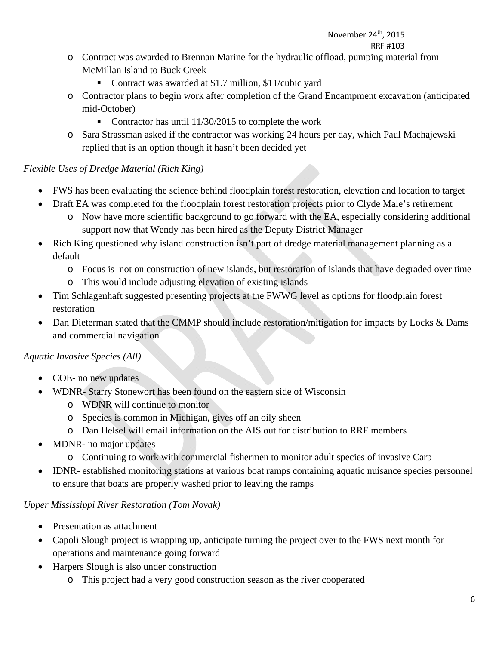- o Contract was awarded to Brennan Marine for the hydraulic offload, pumping material from McMillan Island to Buck Creek
	- Contract was awarded at \$1.7 million, \$11/cubic yard
- o Contractor plans to begin work after completion of the Grand Encampment excavation (anticipated mid-October)
	- Contractor has until 11/30/2015 to complete the work
- o Sara Strassman asked if the contractor was working 24 hours per day, which Paul Machajewski replied that is an option though it hasn't been decided yet

# *Flexible Uses of Dredge Material (Rich King)*

- FWS has been evaluating the science behind floodplain forest restoration, elevation and location to target
- Draft EA was completed for the floodplain forest restoration projects prior to Clyde Male's retirement
	- o Now have more scientific background to go forward with the EA, especially considering additional support now that Wendy has been hired as the Deputy District Manager
- Rich King questioned why island construction isn't part of dredge material management planning as a default
	- o Focus is not on construction of new islands, but restoration of islands that have degraded over time
	- o This would include adjusting elevation of existing islands
- Tim Schlagenhaft suggested presenting projects at the FWWG level as options for floodplain forest restoration
- Dan Dieterman stated that the CMMP should include restoration/mitigation for impacts by Locks & Dams and commercial navigation

# *Aquatic Invasive Species (All)*

- COE- no new updates
- WDNR- Starry Stonewort has been found on the eastern side of Wisconsin
	- o WDNR will continue to monitor
	- o Species is common in Michigan, gives off an oily sheen
	- o Dan Helsel will email information on the AIS out for distribution to RRF members
- MDNR- no major updates
	- o Continuing to work with commercial fishermen to monitor adult species of invasive Carp
- IDNR- established monitoring stations at various boat ramps containing aquatic nuisance species personnel to ensure that boats are properly washed prior to leaving the ramps

# *Upper Mississippi River Restoration (Tom Novak)*

- Presentation as attachment
- Capoli Slough project is wrapping up, anticipate turning the project over to the FWS next month for operations and maintenance going forward
- Harpers Slough is also under construction
	- o This project had a very good construction season as the river cooperated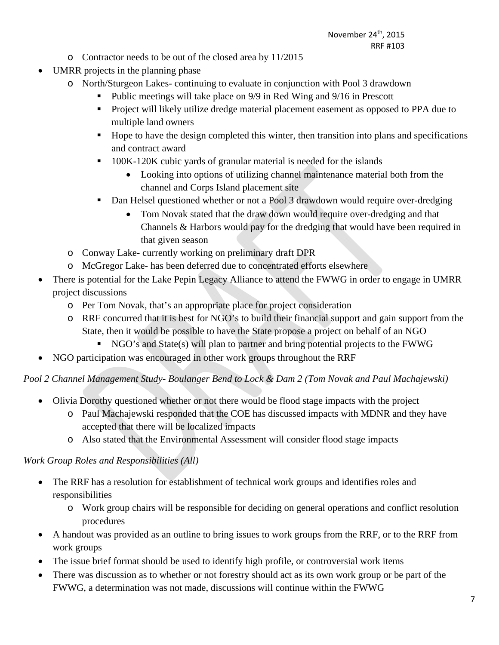- o Contractor needs to be out of the closed area by 11/2015
- UMRR projects in the planning phase
	- o North/Sturgeon Lakes- continuing to evaluate in conjunction with Pool 3 drawdown
		- Public meetings will take place on 9/9 in Red Wing and 9/16 in Prescott
		- **Project will likely utilize dredge material placement easement as opposed to PPA due to** multiple land owners
		- Hope to have the design completed this winter, then transition into plans and specifications and contract award
		- **100K-120K cubic yards of granular material is needed for the islands** 
			- Looking into options of utilizing channel maintenance material both from the channel and Corps Island placement site
		- Dan Helsel questioned whether or not a Pool 3 drawdown would require over-dredging
			- Tom Novak stated that the draw down would require over-dredging and that Channels & Harbors would pay for the dredging that would have been required in that given season
	- o Conway Lake- currently working on preliminary draft DPR
	- o McGregor Lake- has been deferred due to concentrated efforts elsewhere
- There is potential for the Lake Pepin Legacy Alliance to attend the FWWG in order to engage in UMRR project discussions
	- o Per Tom Novak, that's an appropriate place for project consideration
	- o RRF concurred that it is best for NGO's to build their financial support and gain support from the State, then it would be possible to have the State propose a project on behalf of an NGO
		- NGO's and State(s) will plan to partner and bring potential projects to the FWWG
- NGO participation was encouraged in other work groups throughout the RRF

# *Pool 2 Channel Management Study- Boulanger Bend to Lock & Dam 2 (Tom Novak and Paul Machajewski)*

- Olivia Dorothy questioned whether or not there would be flood stage impacts with the project
	- o Paul Machajewski responded that the COE has discussed impacts with MDNR and they have accepted that there will be localized impacts
	- o Also stated that the Environmental Assessment will consider flood stage impacts

# *Work Group Roles and Responsibilities (All)*

- The RRF has a resolution for establishment of technical work groups and identifies roles and responsibilities
	- o Work group chairs will be responsible for deciding on general operations and conflict resolution procedures
- A handout was provided as an outline to bring issues to work groups from the RRF, or to the RRF from work groups
- The issue brief format should be used to identify high profile, or controversial work items
- There was discussion as to whether or not forestry should act as its own work group or be part of the FWWG, a determination was not made, discussions will continue within the FWWG